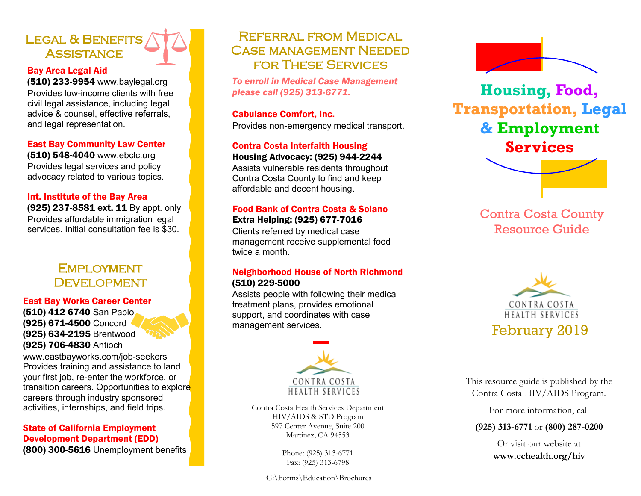# LEGAL & BENEFITS **ASSISTANCE**

# Bay Area Legal Aid

(510) 233-9954 www.baylegal.org Provides low-income clients with free civil legal assistance, including legal advice & counsel, effective referrals, and legal representation.

# East Bay Community Law Center

(510) 548-4040 www.ebclc.org Provides legal services and policy advocacy related to various topics.

#### Int. Institute of the Bay Area

(925) 237-8581 ext. 11 By appt. only Provides affordable immigration legal services. Initial consultation fee is \$30.

# **EMPLOYMENT DEVELOPMENT**

#### East Bay Works Career Center

(510) 412 6740 San Pablo (925) 671-4500 Concord (925) 634-2195 Brentwood (925) 706-4830 Antioch

www.eastbayworks.com/job-seekers Provides training and assistance to land your first job, re-enter the workforce, or transition careers. Opportunities to explore careers through industry sponsored activities, internships, and field trips.

# State of California Employment Development Department (EDD)

(800) 300-5616 Unemployment benefits

# Referral from Medical Case management Needed for These Services

*To enroll in Medical Case Management please call (925) 313-6771.*

# Cabulance Comfort, Inc.

Provides non-emergency medical transport.

# Contra Costa Interfaith Housing

Housing Advocacy: (925) 944-2244 Assists vulnerable residents throughout Contra Costa County to find and keep affordable and decent housing.

# Food Bank of Contra Costa & Solano Extra Helping: (925) 677-7016

Clients referred by medical case management receive supplemental food twice a month.

# Neighborhood House of North Richmond (510) 229-5000

Assists people with following their medical treatment plans, provides emotional support, and coordinates with case management services.



Contra Costa Health Services Department HIV/AIDS & STD Program 597 Center Avenue, Suite 200 Martinez, CA 94553

> Phone: (925) 313-6771 Fax: (925) 313-6798

G:\Forms\Education\Brochures



# **Housing, Food, Transportation, Legal & Employment Services**

Contra Costa County Resource Guide



This resource guide is published by the Contra Costa HIV/AIDS Program.

For more information, call

### **(925) 313-6771** or **(800) 287-0200**

Or visit our website at **www.cchealth.org/hiv**